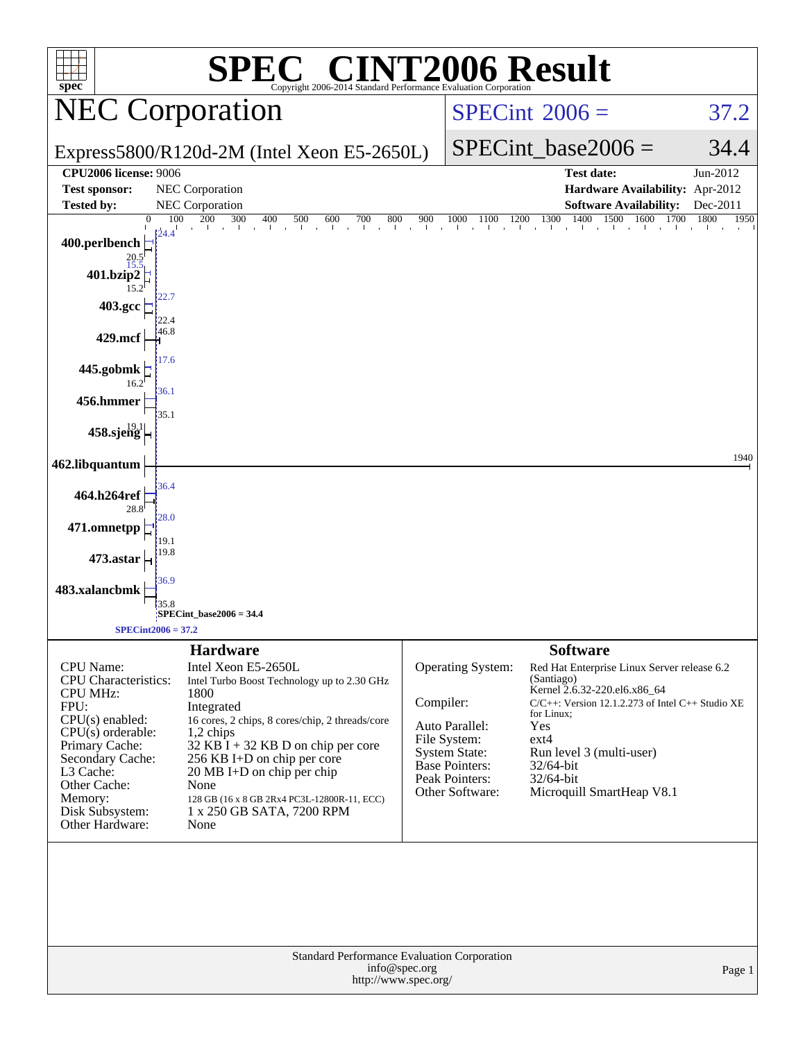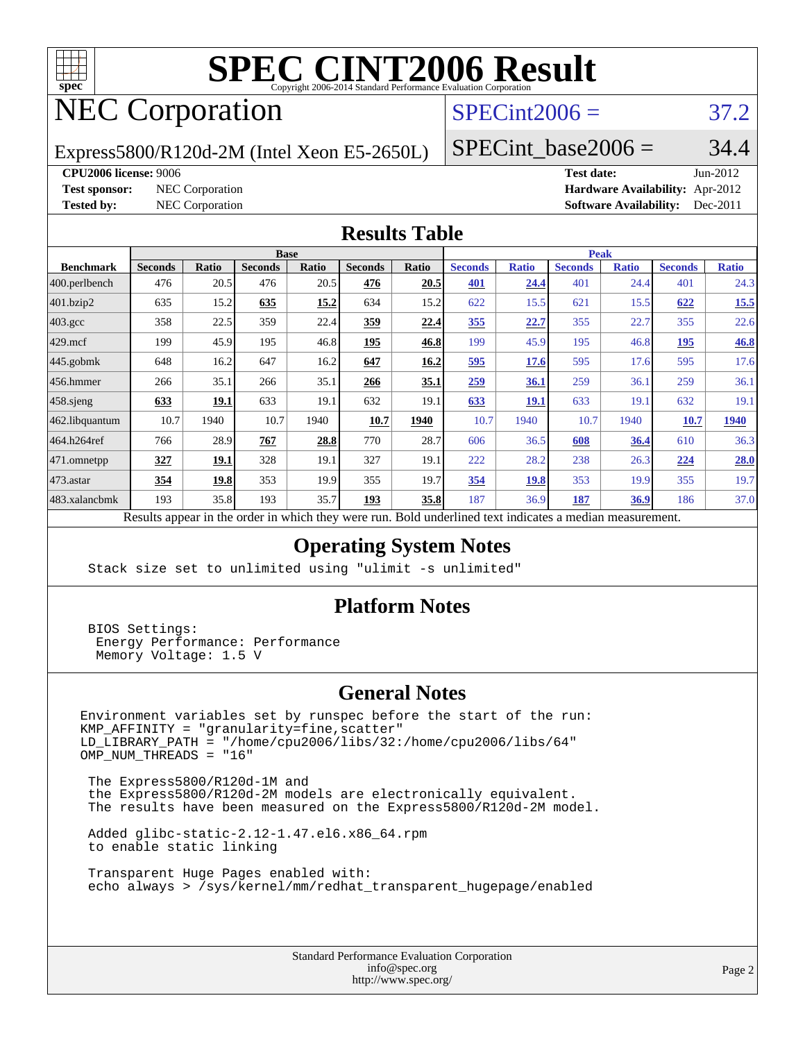

# **[SPEC CINT2006 Result](http://www.spec.org/auto/cpu2006/Docs/result-fields.html#SPECCINT2006Result)**

# NEC Corporation

#### $SPECint2006 = 37.2$  $SPECint2006 = 37.2$

Express5800/R120d-2M (Intel Xeon E5-2650L)

SPECint base2006 =  $34.4$ 

**[CPU2006 license:](http://www.spec.org/auto/cpu2006/Docs/result-fields.html#CPU2006license)** 9006 **[Test date:](http://www.spec.org/auto/cpu2006/Docs/result-fields.html#Testdate)** Jun-2012

**[Test sponsor:](http://www.spec.org/auto/cpu2006/Docs/result-fields.html#Testsponsor)** NEC Corporation **NEC Corporation [Hardware Availability:](http://www.spec.org/auto/cpu2006/Docs/result-fields.html#HardwareAvailability)** Apr-2012 **[Tested by:](http://www.spec.org/auto/cpu2006/Docs/result-fields.html#Testedby)** NEC Corporation **[Software Availability:](http://www.spec.org/auto/cpu2006/Docs/result-fields.html#SoftwareAvailability)** Dec-2011

#### **[Results Table](http://www.spec.org/auto/cpu2006/Docs/result-fields.html#ResultsTable)**

|                    | <b>Base</b>    |              |                |       |                |                           | <b>Peak</b>           |              |                |              |                |              |
|--------------------|----------------|--------------|----------------|-------|----------------|---------------------------|-----------------------|--------------|----------------|--------------|----------------|--------------|
| <b>Benchmark</b>   | <b>Seconds</b> | <b>Ratio</b> | <b>Seconds</b> | Ratio | <b>Seconds</b> | Ratio                     | <b>Seconds</b>        | <b>Ratio</b> | <b>Seconds</b> | <b>Ratio</b> | <b>Seconds</b> | <b>Ratio</b> |
| 400.perlbench      | 476            | 20.5         | 476            | 20.5  | 476            | 20.5                      | 401                   | 24.4         | 401            | 24.4         | 401            | 24.3         |
| 401.bzip2          | 635            | 15.2         | 635            | 15.2  | 634            | 15.2                      | 622                   | 15.5         | 621            | 15.5         | 622            | 15.5         |
| $403.\mathrm{gcc}$ | 358            | 22.5         | 359            | 22.4  | <u>359</u>     | 22.4                      | 355                   | 22.7         | 355            | 22.7         | 355            | 22.6         |
| $429$ .mcf         | 199            | 45.9         | 195            | 46.8  | 195            | 46.8                      | 199                   | 45.9         | 195            | 46.8         | 195            | 46.8         |
| $445$ .gobmk       | 648            | 16.2         | 647            | 16.2  | 647            | 16.2                      | 595                   | 17.6         | 595            | 17.6         | 595            | 17.6         |
| $456.$ hmmer       | 266            | 35.1         | 266            | 35.1  | 266            | 35.1                      | 259                   | 36.1         | 259            | 36.1         | 259            | 36.1         |
| $458$ .sjeng       | 633            | 19.1         | 633            | 19.1  | 632            | 19.1                      | 633                   | 19.1         | 633            | 19.1         | 632            | 19.1         |
| 462.libquantum     | 10.7           | 1940         | 10.7           | 1940  | 10.7           | 1940                      | 10.7                  | 1940         | 10.7           | 1940         | 10.7           | 1940         |
| 464.h264ref        | 766            | 28.9         | 767            | 28.8  | 770            | 28.7                      | 606                   | 36.5         | 608            | 36.4         | 610            | 36.3         |
| 471.omnetpp        | 327            | 19.1         | 328            | 19.1  | 327            | 19.1                      | 222                   | 28.2         | 238            | 26.3         | 224            | 28.0         |
| $473.$ astar       | 354            | 19.8         | 353            | 19.9  | 355            | 19.7                      | 354                   | 19.8         | 353            | 19.9         | 355            | 19.7         |
| 483.xalancbmk      | 193            | 35.8         | 193            | 35.7  | 193            | 35.8                      | 187                   | 36.9         | 187            | <u>36.9</u>  | 186            | 37.0         |
| $\mathbf{r}$       |                |              |                |       |                | $\mathbf{r}$ $\mathbf{r}$ | 1.1<br>$\blacksquare$ |              |                |              |                |              |

Results appear in the [order in which they were run.](http://www.spec.org/auto/cpu2006/Docs/result-fields.html#RunOrder) Bold underlined text [indicates a median measurement.](http://www.spec.org/auto/cpu2006/Docs/result-fields.html#Median)

#### **[Operating System Notes](http://www.spec.org/auto/cpu2006/Docs/result-fields.html#OperatingSystemNotes)**

Stack size set to unlimited using "ulimit -s unlimited"

#### **[Platform Notes](http://www.spec.org/auto/cpu2006/Docs/result-fields.html#PlatformNotes)**

 BIOS Settings: Energy Performance: Performance Memory Voltage: 1.5 V

#### **[General Notes](http://www.spec.org/auto/cpu2006/Docs/result-fields.html#GeneralNotes)**

Environment variables set by runspec before the start of the run: KMP\_AFFINITY = "granularity=fine,scatter" LD\_LIBRARY\_PATH = "/home/cpu2006/libs/32:/home/cpu2006/libs/64"  $OMP$  NUM THREADS = "16"

 The Express5800/R120d-1M and the Express5800/R120d-2M models are electronically equivalent. The results have been measured on the Express5800/R120d-2M model.

 Added glibc-static-2.12-1.47.el6.x86\_64.rpm to enable static linking

 Transparent Huge Pages enabled with: echo always > /sys/kernel/mm/redhat\_transparent\_hugepage/enabled

> Standard Performance Evaluation Corporation [info@spec.org](mailto:info@spec.org) <http://www.spec.org/>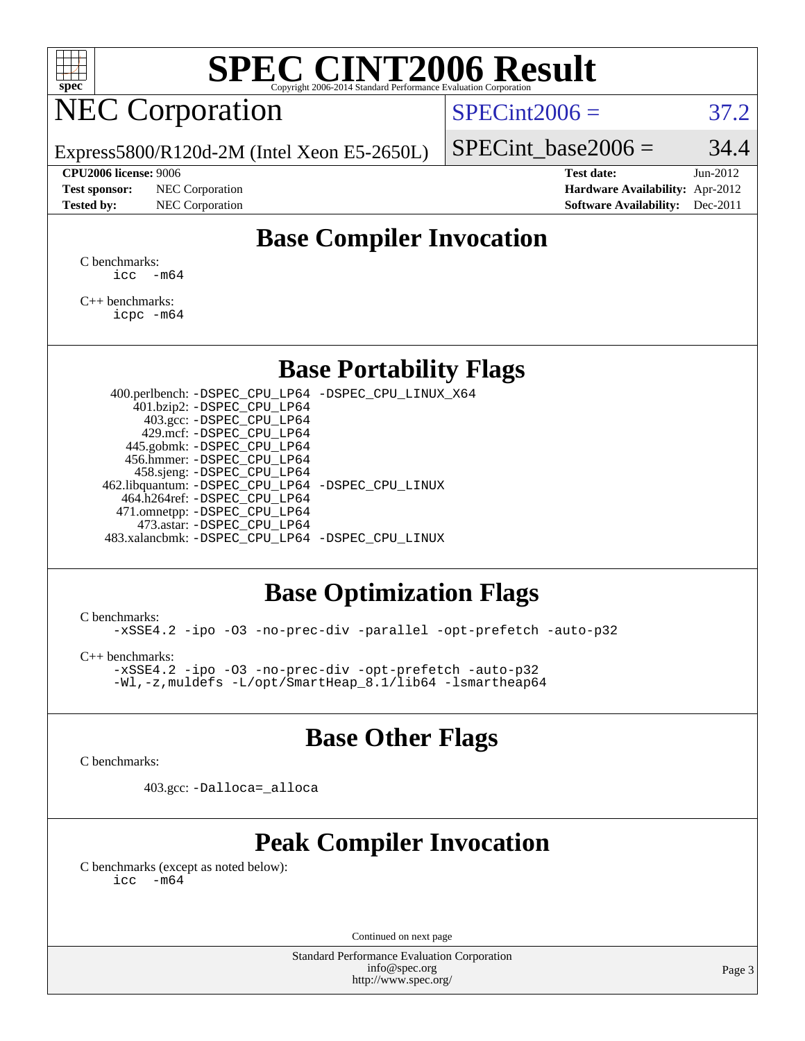

# **[SPEC CINT2006 Result](http://www.spec.org/auto/cpu2006/Docs/result-fields.html#SPECCINT2006Result)**

# NEC Corporation

 $SPECint2006 = 37.2$  $SPECint2006 = 37.2$ 

Express5800/R120d-2M (Intel Xeon E5-2650L)

#### **[CPU2006 license:](http://www.spec.org/auto/cpu2006/Docs/result-fields.html#CPU2006license)** 9006 **[Test date:](http://www.spec.org/auto/cpu2006/Docs/result-fields.html#Testdate)** Jun-2012

**[Test sponsor:](http://www.spec.org/auto/cpu2006/Docs/result-fields.html#Testsponsor)** NEC Corporation **NEC Corporation [Hardware Availability:](http://www.spec.org/auto/cpu2006/Docs/result-fields.html#HardwareAvailability)** Apr-2012

SPECint base2006 =  $34.4$ 

**[Tested by:](http://www.spec.org/auto/cpu2006/Docs/result-fields.html#Testedby)** NEC Corporation **[Software Availability:](http://www.spec.org/auto/cpu2006/Docs/result-fields.html#SoftwareAvailability)** Dec-2011

### **[Base Compiler Invocation](http://www.spec.org/auto/cpu2006/Docs/result-fields.html#BaseCompilerInvocation)**

[C benchmarks](http://www.spec.org/auto/cpu2006/Docs/result-fields.html#Cbenchmarks):  $\text{icc}$   $-\text{m64}$ 

[C++ benchmarks:](http://www.spec.org/auto/cpu2006/Docs/result-fields.html#CXXbenchmarks) [icpc -m64](http://www.spec.org/cpu2006/results/res2012q3/cpu2006-20120617-22971.flags.html#user_CXXbase_intel_icpc_64bit_fc66a5337ce925472a5c54ad6a0de310)

#### **[Base Portability Flags](http://www.spec.org/auto/cpu2006/Docs/result-fields.html#BasePortabilityFlags)**

 400.perlbench: [-DSPEC\\_CPU\\_LP64](http://www.spec.org/cpu2006/results/res2012q3/cpu2006-20120617-22971.flags.html#b400.perlbench_basePORTABILITY_DSPEC_CPU_LP64) [-DSPEC\\_CPU\\_LINUX\\_X64](http://www.spec.org/cpu2006/results/res2012q3/cpu2006-20120617-22971.flags.html#b400.perlbench_baseCPORTABILITY_DSPEC_CPU_LINUX_X64) 401.bzip2: [-DSPEC\\_CPU\\_LP64](http://www.spec.org/cpu2006/results/res2012q3/cpu2006-20120617-22971.flags.html#suite_basePORTABILITY401_bzip2_DSPEC_CPU_LP64) 403.gcc: [-DSPEC\\_CPU\\_LP64](http://www.spec.org/cpu2006/results/res2012q3/cpu2006-20120617-22971.flags.html#suite_basePORTABILITY403_gcc_DSPEC_CPU_LP64) 429.mcf: [-DSPEC\\_CPU\\_LP64](http://www.spec.org/cpu2006/results/res2012q3/cpu2006-20120617-22971.flags.html#suite_basePORTABILITY429_mcf_DSPEC_CPU_LP64) 445.gobmk: [-DSPEC\\_CPU\\_LP64](http://www.spec.org/cpu2006/results/res2012q3/cpu2006-20120617-22971.flags.html#suite_basePORTABILITY445_gobmk_DSPEC_CPU_LP64) 456.hmmer: [-DSPEC\\_CPU\\_LP64](http://www.spec.org/cpu2006/results/res2012q3/cpu2006-20120617-22971.flags.html#suite_basePORTABILITY456_hmmer_DSPEC_CPU_LP64) 458.sjeng: [-DSPEC\\_CPU\\_LP64](http://www.spec.org/cpu2006/results/res2012q3/cpu2006-20120617-22971.flags.html#suite_basePORTABILITY458_sjeng_DSPEC_CPU_LP64) 462.libquantum: [-DSPEC\\_CPU\\_LP64](http://www.spec.org/cpu2006/results/res2012q3/cpu2006-20120617-22971.flags.html#suite_basePORTABILITY462_libquantum_DSPEC_CPU_LP64) [-DSPEC\\_CPU\\_LINUX](http://www.spec.org/cpu2006/results/res2012q3/cpu2006-20120617-22971.flags.html#b462.libquantum_baseCPORTABILITY_DSPEC_CPU_LINUX) 464.h264ref: [-DSPEC\\_CPU\\_LP64](http://www.spec.org/cpu2006/results/res2012q3/cpu2006-20120617-22971.flags.html#suite_basePORTABILITY464_h264ref_DSPEC_CPU_LP64) 471.omnetpp: [-DSPEC\\_CPU\\_LP64](http://www.spec.org/cpu2006/results/res2012q3/cpu2006-20120617-22971.flags.html#suite_basePORTABILITY471_omnetpp_DSPEC_CPU_LP64) 473.astar: [-DSPEC\\_CPU\\_LP64](http://www.spec.org/cpu2006/results/res2012q3/cpu2006-20120617-22971.flags.html#suite_basePORTABILITY473_astar_DSPEC_CPU_LP64) 483.xalancbmk: [-DSPEC\\_CPU\\_LP64](http://www.spec.org/cpu2006/results/res2012q3/cpu2006-20120617-22971.flags.html#suite_basePORTABILITY483_xalancbmk_DSPEC_CPU_LP64) [-DSPEC\\_CPU\\_LINUX](http://www.spec.org/cpu2006/results/res2012q3/cpu2006-20120617-22971.flags.html#b483.xalancbmk_baseCXXPORTABILITY_DSPEC_CPU_LINUX)

#### **[Base Optimization Flags](http://www.spec.org/auto/cpu2006/Docs/result-fields.html#BaseOptimizationFlags)**

[C benchmarks](http://www.spec.org/auto/cpu2006/Docs/result-fields.html#Cbenchmarks):

[-xSSE4.2](http://www.spec.org/cpu2006/results/res2012q3/cpu2006-20120617-22971.flags.html#user_CCbase_f-xSSE42_f91528193cf0b216347adb8b939d4107) [-ipo](http://www.spec.org/cpu2006/results/res2012q3/cpu2006-20120617-22971.flags.html#user_CCbase_f-ipo) [-O3](http://www.spec.org/cpu2006/results/res2012q3/cpu2006-20120617-22971.flags.html#user_CCbase_f-O3) [-no-prec-div](http://www.spec.org/cpu2006/results/res2012q3/cpu2006-20120617-22971.flags.html#user_CCbase_f-no-prec-div) [-parallel](http://www.spec.org/cpu2006/results/res2012q3/cpu2006-20120617-22971.flags.html#user_CCbase_f-parallel) [-opt-prefetch](http://www.spec.org/cpu2006/results/res2012q3/cpu2006-20120617-22971.flags.html#user_CCbase_f-opt-prefetch) [-auto-p32](http://www.spec.org/cpu2006/results/res2012q3/cpu2006-20120617-22971.flags.html#user_CCbase_f-auto-p32)

[C++ benchmarks:](http://www.spec.org/auto/cpu2006/Docs/result-fields.html#CXXbenchmarks)

[-xSSE4.2](http://www.spec.org/cpu2006/results/res2012q3/cpu2006-20120617-22971.flags.html#user_CXXbase_f-xSSE42_f91528193cf0b216347adb8b939d4107) [-ipo](http://www.spec.org/cpu2006/results/res2012q3/cpu2006-20120617-22971.flags.html#user_CXXbase_f-ipo) [-O3](http://www.spec.org/cpu2006/results/res2012q3/cpu2006-20120617-22971.flags.html#user_CXXbase_f-O3) [-no-prec-div](http://www.spec.org/cpu2006/results/res2012q3/cpu2006-20120617-22971.flags.html#user_CXXbase_f-no-prec-div) [-opt-prefetch](http://www.spec.org/cpu2006/results/res2012q3/cpu2006-20120617-22971.flags.html#user_CXXbase_f-opt-prefetch) [-auto-p32](http://www.spec.org/cpu2006/results/res2012q3/cpu2006-20120617-22971.flags.html#user_CXXbase_f-auto-p32) [-Wl,-z,muldefs](http://www.spec.org/cpu2006/results/res2012q3/cpu2006-20120617-22971.flags.html#user_CXXbase_link_force_multiple1_74079c344b956b9658436fd1b6dd3a8a) [-L/opt/SmartHeap\\_8.1/lib64 -lsmartheap64](http://www.spec.org/cpu2006/results/res2012q3/cpu2006-20120617-22971.flags.html#user_CXXbase_SmartHeap64_7ff9c3d8ca51c2767359d6aa2f519d77)

#### **[Base Other Flags](http://www.spec.org/auto/cpu2006/Docs/result-fields.html#BaseOtherFlags)**

[C benchmarks](http://www.spec.org/auto/cpu2006/Docs/result-fields.html#Cbenchmarks):

403.gcc: [-Dalloca=\\_alloca](http://www.spec.org/cpu2006/results/res2012q3/cpu2006-20120617-22971.flags.html#b403.gcc_baseEXTRA_CFLAGS_Dalloca_be3056838c12de2578596ca5467af7f3)

### **[Peak Compiler Invocation](http://www.spec.org/auto/cpu2006/Docs/result-fields.html#PeakCompilerInvocation)**

[C benchmarks \(except as noted below\)](http://www.spec.org/auto/cpu2006/Docs/result-fields.html#Cbenchmarksexceptasnotedbelow):  $\text{icc}$  -m64

Continued on next page

Standard Performance Evaluation Corporation [info@spec.org](mailto:info@spec.org) <http://www.spec.org/>

Page 3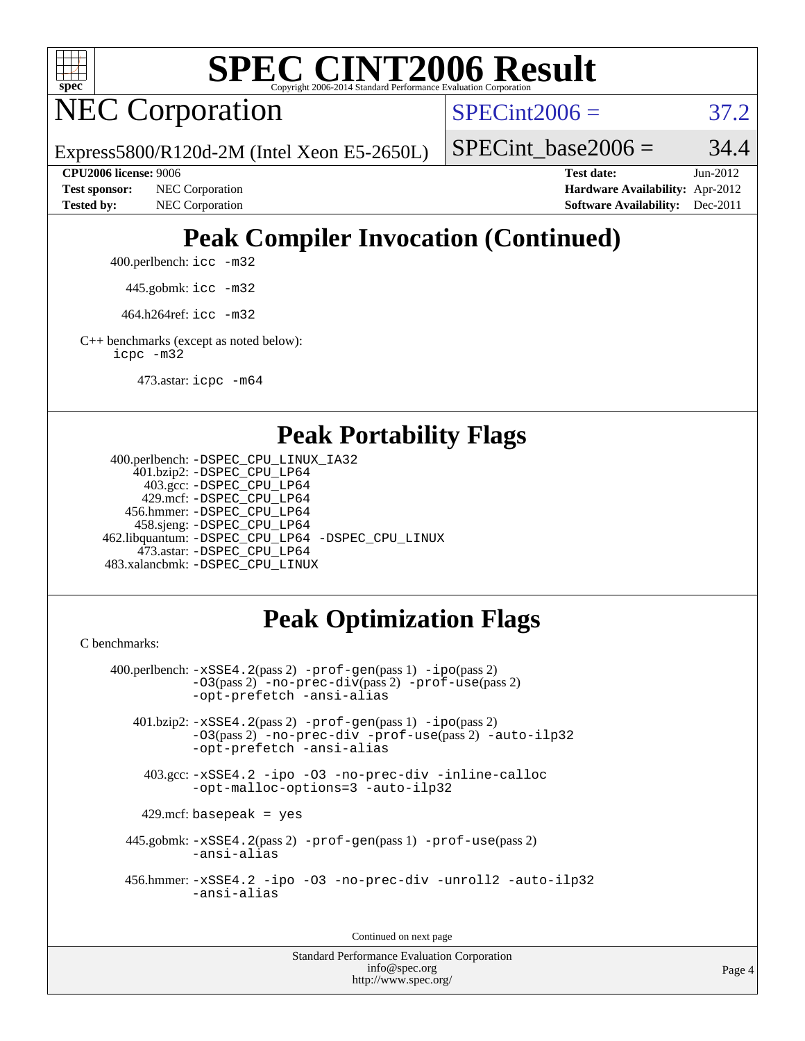

# **[SPEC CINT2006 Result](http://www.spec.org/auto/cpu2006/Docs/result-fields.html#SPECCINT2006Result)**

NEC Corporation

 $SPECint2006 = 37.2$  $SPECint2006 = 37.2$ 

Express5800/R120d-2M (Intel Xeon E5-2650L)

SPECint base2006 =  $34.4$ 

**[CPU2006 license:](http://www.spec.org/auto/cpu2006/Docs/result-fields.html#CPU2006license)** 9006 **[Test date:](http://www.spec.org/auto/cpu2006/Docs/result-fields.html#Testdate)** Jun-2012 **[Test sponsor:](http://www.spec.org/auto/cpu2006/Docs/result-fields.html#Testsponsor)** NEC Corporation **NEC Corporation [Hardware Availability:](http://www.spec.org/auto/cpu2006/Docs/result-fields.html#HardwareAvailability)** Apr-2012 **[Tested by:](http://www.spec.org/auto/cpu2006/Docs/result-fields.html#Testedby)** NEC Corporation **[Software Availability:](http://www.spec.org/auto/cpu2006/Docs/result-fields.html#SoftwareAvailability)** Dec-2011

## **[Peak Compiler Invocation \(Continued\)](http://www.spec.org/auto/cpu2006/Docs/result-fields.html#PeakCompilerInvocation)**

400.perlbench: [icc -m32](http://www.spec.org/cpu2006/results/res2012q3/cpu2006-20120617-22971.flags.html#user_peakCCLD400_perlbench_intel_icc_a6a621f8d50482236b970c6ac5f55f93)

445.gobmk: [icc -m32](http://www.spec.org/cpu2006/results/res2012q3/cpu2006-20120617-22971.flags.html#user_peakCCLD445_gobmk_intel_icc_a6a621f8d50482236b970c6ac5f55f93)

464.h264ref: [icc -m32](http://www.spec.org/cpu2006/results/res2012q3/cpu2006-20120617-22971.flags.html#user_peakCCLD464_h264ref_intel_icc_a6a621f8d50482236b970c6ac5f55f93)

[C++ benchmarks \(except as noted below\):](http://www.spec.org/auto/cpu2006/Docs/result-fields.html#CXXbenchmarksexceptasnotedbelow) [icpc -m32](http://www.spec.org/cpu2006/results/res2012q3/cpu2006-20120617-22971.flags.html#user_CXXpeak_intel_icpc_4e5a5ef1a53fd332b3c49e69c3330699)

473.astar: [icpc -m64](http://www.spec.org/cpu2006/results/res2012q3/cpu2006-20120617-22971.flags.html#user_peakCXXLD473_astar_intel_icpc_64bit_fc66a5337ce925472a5c54ad6a0de310)

#### **[Peak Portability Flags](http://www.spec.org/auto/cpu2006/Docs/result-fields.html#PeakPortabilityFlags)**

```
 400.perlbench: -DSPEC_CPU_LINUX_IA32
    401.bzip2: -DSPEC_CPU_LP64
      403.gcc: -DSPEC_CPU_LP64
     429.mcf: -DSPEC_CPU_LP64
   456.hmmer: -DSPEC_CPU_LP64
    458.sjeng: -DSPEC_CPU_LP64
462.libquantum: -DSPEC_CPU_LP64 -DSPEC_CPU_LINUX
     473.astar: -DSPEC_CPU_LP64
483.xalancbmk: -DSPEC_CPU_LINUX
```
### **[Peak Optimization Flags](http://www.spec.org/auto/cpu2006/Docs/result-fields.html#PeakOptimizationFlags)**

[C benchmarks](http://www.spec.org/auto/cpu2006/Docs/result-fields.html#Cbenchmarks):

```
 400.perlbench: -xSSE4.2(pass 2) -prof-gen(pass 1) -ipo(pass 2)
           -O3(pass 2) -no-prec-div(pass 2) -prof-use(pass 2)
          -opt-prefetch -ansi-alias
   401.bzip2: -xSSE4.2(pass 2) -prof-gen(pass 1) -ipo(pass 2)
           -O3(pass 2) -no-prec-div -prof-use(pass 2) -auto-ilp32
           -opt-prefetch -ansi-alias
    403.gcc: -xSSE4.2 -ipo -O3 -no-prec-div -inline-calloc
           -opt-malloc-options=3 -auto-ilp32
   429.mcf: basepeak = yes
  445.gobmk: -xSSE4.2(pass 2) -prof-gen(pass 1) -prof-use(pass 2)
           -ansi-alias
  456.hmmer: -xSSE4.2 -ipo -O3 -no-prec-div -unroll2 -auto-ilp32
           -ansi-alias
```
Continued on next page

Standard Performance Evaluation Corporation [info@spec.org](mailto:info@spec.org) <http://www.spec.org/>